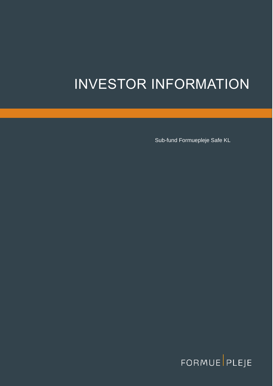# INVESTOR INFORMATION

INVESTOR INFORMATION SUB-fund Formuepleje Safe KL<br>INVESTOR INFORMATION SUB-fund Formuepleje Safe KL

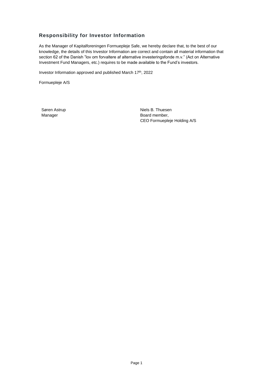# <span id="page-1-0"></span>**Responsibility for Investor Information**

As the Manager of Kapitalforeningen Formuepleje Safe, we hereby declare that, to the best of our knowledge, the details of this Investor Information are correct and contain all material information that section 62 of the Danish "lov om forvaltere af alternative investeringsfonde m.v." (Act on Alternative Investment Fund Managers, etc.) requires to be made available to the Fund's investors.

Investor Information approved and published March 17<sup>th</sup>, 2022

Formuepleje A/S

Søren Astrup Manager

Niels B. Thuesen Board member, CEO Formuepleje Holding A/S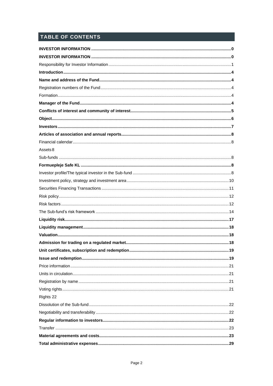# TABLE OF CONTENTS

| Assets 8  |  |
|-----------|--|
|           |  |
|           |  |
|           |  |
|           |  |
|           |  |
|           |  |
|           |  |
|           |  |
|           |  |
|           |  |
|           |  |
|           |  |
|           |  |
|           |  |
|           |  |
|           |  |
|           |  |
|           |  |
| Rights 22 |  |
|           |  |
|           |  |
|           |  |
|           |  |
|           |  |
|           |  |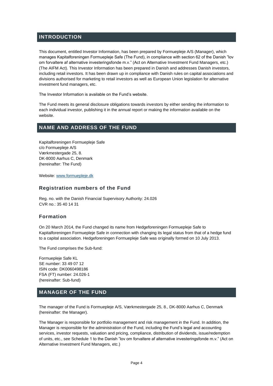# <span id="page-4-0"></span>**INTRODUCTION**

This document, entitled Investor Information, has been prepared by Formuepleje A/S (Manager), which manages Kapitalforeningen Formuepleje Safe (The Fund), in compliance with section 62 of the Danish "lov om forvaltere af alternative investeringsfonde m.v." (Act on Alternative Investment Fund Managers, etc.) (The AIFM Act). This Investor Information has been prepared in Danish and addresses Danish investors, including retail investors. It has been drawn up in compliance with Danish rules on capital associations and divisions authorised for marketing to retail investors as well as European Union legislation for alternative investment fund managers, etc.

The Investor Information is available on the Fund's website.

The Fund meets its general disclosure obligations towards investors by either sending the information to each individual investor, publishing it in the annual report or making the information available on the website.

## <span id="page-4-1"></span>**NAME AND ADDRESS OF THE FUND**

Kapitalforeningen Formuepleje Safe c/o Formuepleje A/S Værkmestergade 25, 8. DK-8000 Aarhus C, Denmark (hereinafter: The Fund)

Website[: www.formuepleje.dk](http://www.formuepleje.dk/)

## <span id="page-4-2"></span>**Registration numbers of the Fund**

Reg. no. with the Danish Financial Supervisory Authority: 24.026 CVR no.: 35 40 14 31

## <span id="page-4-3"></span>**Formation**

On 20 March 2014, the Fund changed its name from Hedgeforeningen Formuepleje Safe to Kapitalforeningen Formuepleje Safe in connection with changing its legal status from that of a hedge fund to a capital association. Hedgeforeningen Formuepleje Safe was originally formed on 10 July 2013.

The Fund comprises the Sub-fund:

Formuepleje Safe KL SE number: 33 49 07 12 ISIN code: DK0060498186 FSA (FT) number: 24.026-1 (hereinafter: Sub-fund)

# <span id="page-4-4"></span>**MANAGER OF THE FUND**

The manager of the Fund is Formuepleje A/S, Værkmestergade 25, 8., DK-8000 Aarhus C, Denmark (hereinafter: the Manager).

The Manager is responsible for portfolio management and risk management in the Fund. In addition, the Manager is responsible for the administration of the Fund, including the Fund's legal and accounting services, investor requests, valuation and pricing, compliance, distribution of dividends, issue/redemption of units, etc., see Schedule 1 to the Danish "lov om forvaltere af alternative investeringsfonde m.v." (Act on Alternative Investment Fund Managers, etc.)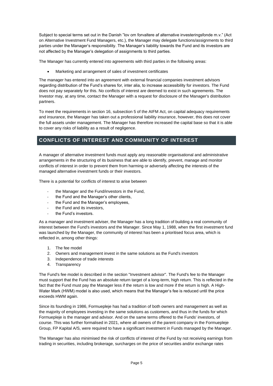Subject to special terms set out in the Danish "lov om forvaltere af alternative investeringsfonde m.v." (Act on Alternative Investment Fund Managers, etc.), the Manager may delegate functions/assignments to third parties under the Manager's responsibility. The Manager's liability towards the Fund and its investors are not affected by the Manager's delegation of assignments to third parties.

The Manager has currently entered into agreements with third parties in the following areas:

• Marketing and arrangement of sales of investment certificates

The manager has entered into an agreement with external financial companies investment advisors regarding distribution of the Fund's shares for, inter alia, to increase accessibility for investors. The Fund does not pay separately for this. No conflicts of interest are deemed to exist in such agreements. The Investor may, at any time, contact the Manager with a request for disclosure of the Manager's distribution partners.

To meet the requirements in section 16, subsection 5 of the AIFM Act, on capital adequacy requirements and insurance, the Manager has taken out a professional liability insurance, however, this does not cover the full assets under management. The Manager has therefore increased the capital base so that it is able to cover any risks of liability as a result of negligence.

# <span id="page-5-0"></span>**CONFLICTS OF INTEREST AND COMMUNITY OF INTEREST**

A manager of alternative investment funds must apply any reasonable organisational and administrative arrangements in the structuring of its business that are able to identify, prevent, manage and monitor conflicts of interest in order to prevent them from harming or adversely affecting the interests of the managed alternative investment funds or their investors.

There is a potential for conflicts of interest to arise between

- the Manager and the Fund/investors in the Fund,
- the Fund and the Manager's other clients,
- the Fund and the Manager's employees,
- the Fund and its investors,
- the Fund's investors.

As a manager and investment adviser, the Manager has a long tradition of building a real community of interest between the Fund's investors and the Manager. Since May 1, 1988, when the first investment fund was launched by the Manager, the community of interest has been a prioritised focus area, which is reflected in, among other things:

- 1. The fee model
- 2. Owners and management invest in the same solutions as the Fund's investors
- 3. Independence of trade interests
- 4. Transparency

The Fund's fee model is described in the section "Investment advisor". The Fund's fee to the Manager must support that the Fund has an absolute return target of a long-term, high return. This is reflected in the fact that the Fund must pay the Manager less if the return is low and more if the return is high. A High-Water Mark (HWM) model is also used, which means that the Manager's fee is reduced until the price exceeds HWM again.

Since its founding in 1986, Formuepleje has had a tradition of both owners and management as well as the majority of employees investing in the same solutions as customers, and thus in the funds for which Formuepleje is the manager and advisor. And on the same terms offered to the Funds' investors, of course. This was further formalised in 2021, where all owners of the parent company in the Formuepleje Group, FP Kapital A/S, were required to have a significant investment in Funds managed by the Manager.

The Manager has also minimised the risk of conflicts of interest of the Fund by not receiving earnings from trading in securities, including brokerage, surcharges on the price of securities and/or exchange rates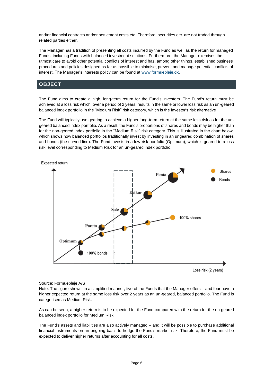and/or financial contracts and/or settlement costs etc. Therefore, securities etc. are not traded through related parties either.

The Manager has a tradition of presenting all costs incurred by the Fund as well as the return for managed Funds, including Funds with balanced investment solutions. Furthermore, the Manager exercises the utmost care to avoid other potential conflicts of interest and has, among other things, established business procedures and policies designed as far as possible to minimise, prevent and manage potential conflicts of interest. The Manager's interests policy can be found a[t www.formuepleje.dk.](http://www.formuepleje.dk/)

# <span id="page-6-0"></span>**OBJECT**

The Fund aims to create a high, long-term return for the Fund's investors. The Fund's return must be achieved at a loss risk which, over a period of 2 years, results in the same or lower loss risk as an un-geared balanced index portfolio in the "Medium Risk" risk category, which is the investor's risk alternative

The Fund will typically use gearing to achieve a higher long-term return at the same loss risk as for the ungeared balanced index portfolio. As a result, the Fund's proportions of shares and bonds may be higher than for the non-geared index portfolio in the "Medium Risk" risk category. This is illustrated in the chart below, which shows how balanced portfolios traditionally invest by investing in an ungeared combination of shares and bonds (the curved line). The Fund invests in a low-risk portfolio (Optimum), which is geared to a loss risk level corresponding to Medium Risk for an un-geared index portfolio.



#### Source: Formuepleje A/S

Note: The figure shows, in a simplified manner, five of the Funds that the Manager offers – and four have a higher expected return at the same loss risk over 2 years as an un-geared, balanced portfolio. The Fund is categorised as Medium Risk.

As can be seen, a higher return is to be expected for the Fund compared with the return for the un-geared balanced index portfolio for Medium Risk.

The Fund's assets and liabilities are also actively managed – and it will be possible to purchase additional financial instruments on an ongoing basis to hedge the Fund's market risk. Therefore, the Fund must be expected to deliver higher returns after accounting for all costs.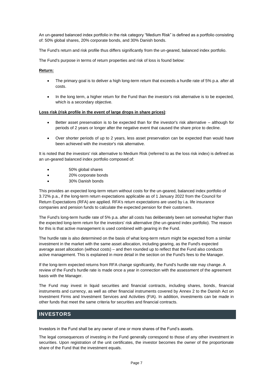An un-geared balanced index portfolio in the risk category "Medium Risk" is defined as a portfolio consisting of: 50% global shares, 20% corporate bonds, and 30% Danish bonds.

The Fund's return and risk profile thus differs significantly from the un-geared, balanced index portfolio.

The Fund's purpose in terms of return properties and risk of loss is found below:

#### **Return:**

- The primary goal is to deliver a high long-term return that exceeds a hurdle rate of 5% p.a. after all costs.
- In the long term, a higher return for the Fund than the investor's risk alternative is to be expected, which is a secondary objective.

#### **Loss risk (risk profile in the event of large drops in share prices)**:

- Better asset preservation is to be expected than for the investor's risk alternative although for periods of 2 years or longer after the negative event that caused the share price to decline.
- Over shorter periods of up to 2 years, less asset preservation can be expected than would have been achieved with the investor's risk alternative.

It is noted that the investors' risk alternative to Medium Risk (referred to as the loss risk index) is defined as an un-geared balanced index portfolio composed of:

- 50% global shares
- 20% corporate bonds
- 30% Danish bonds

This provides an expected long-term return without costs for the un-geared, balanced index portfolio of 3.72% p.a., if the long-term return expectations applicable as of 1 January 2022 from the Council for Return Expectations (RFA) are applied. RFA's return expectations are used by i.a. life insurance companies and pension funds to calculate the expected pension for their customers.

The Fund's long-term hurdle rate of 5% p.a. after all costs has deliberately been set somewhat higher than the expected long-term return for the investors' risk alternative (the un-geared index portfolio). The reason for this is that active management is used combined with gearing in the Fund.

The hurdle rate is also determined on the basis of what long-term return might be expected from a similar investment in the market with the same asset allocation, including gearing, as the Fund's expected average asset allocation (without costs) – and then rounded up to reflect that the Fund also conducts active management. This is explained in more detail in the section on the Fund's fees to the Manager.

If the long-term expected returns from RFA change significantly, the Fund's hurdle rate may change. A review of the Fund's hurdle rate is made once a year in connection with the assessment of the agreement basis with the Manager.

The Fund may invest in liquid securities and financial contracts, including shares, bonds, financial instruments and currency, as well as other financial instruments covered by Annex 2 to the Danish Act on Investment Firms and Investment Services and Activities (FIA). In addition, investments can be made in other funds that meet the same criteria for securities and financial contracts.

## <span id="page-7-0"></span>**INVESTORS**

Investors in the Fund shall be any owner of one or more shares of the Fund's assets.

The legal consequences of investing in the Fund generally correspond to those of any other investment in securities. Upon registration of the unit certificates, the investor becomes the owner of the proportionate share of the Fund that the investment equals.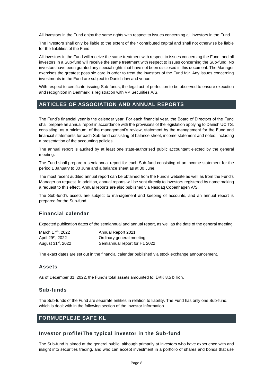All investors in the Fund enjoy the same rights with respect to issues concerning all investors in the Fund.

The investors shall only be liable to the extent of their contributed capital and shall not otherwise be liable for the liabilities of the Fund.

All investors in the Fund will receive the same treatment with respect to issues concerning the Fund, and all investors in a Sub-fund will receive the same treatment with respect to issues concerning the Sub-fund. No investors have been granted any special rights that have not been disclosed in this document. The Manager exercises the greatest possible care in order to treat the investors of the Fund fair. Any issues concerning investments in the Fund are subject to Danish law and venue.

With respect to certificate-issuing Sub-funds, the legal act of perfection to be observed to ensure execution and recognition in Denmark is registration with VP Securities A/S.

## <span id="page-8-0"></span>**ARTICLES OF ASSOCIATION AND ANNUAL REPORTS**

The Fund's financial year is the calendar year. For each financial year, the Board of Directors of the Fund shall prepare an annual report in accordance with the provisions of the legislation applying to Danish UCITS, consisting, as a minimum, of the management's review, statement by the management for the Fund and financial statements for each Sub-fund consisting of balance sheet, income statement and notes, including a presentation of the accounting policies.

The annual report is audited by at least one state-authorised public accountant elected by the general meeting.

The Fund shall prepare a semiannual report for each Sub-fund consisting of an income statement for the period 1 January to 30 June and a balance sheet as at 30 June.

The most recent audited annual report can be obtained from the Fund's website as well as from the Fund's Manager on request. In addition, annual reports will be sent directly to investors registered by name making a request to this effect. Annual reports are also published via Nasdaq Copenhagen A/S.

The Sub-fund's assets are subject to management and keeping of accounts, and an annual report is prepared for the Sub-fund.

## <span id="page-8-1"></span>**Financial calendar**

Expected publication dates of the semiannual and annual report, as well as the date of the general meeting.

| March 17th, 2022               | Annual Report 2021            |
|--------------------------------|-------------------------------|
| April 29 <sup>th</sup> , 2022  | Ordinary general meeting      |
| August 31 <sup>st</sup> , 2022 | Semiannual report for H1 2022 |

The exact dates are set out in the financial calendar published via stock exchange announcement.

#### <span id="page-8-2"></span>**Assets**

As of December 31, 2022, the Fund's total assets amounted to: DKK 8.5 billion.

#### <span id="page-8-3"></span>**Sub-funds**

The Sub-funds of the Fund are separate entities in relation to liability. The Fund has only one Sub-fund, which is dealt with in the following section of the Investor Information.

## <span id="page-8-4"></span>**FORMUEPLEJE SAFE KL**

## <span id="page-8-5"></span>**Investor profile/The typical investor in the Sub-fund**

The Sub-fund is aimed at the general public, although primarily at investors who have experience with and insight into securities trading, and who can accept investment in a portfolio of shares and bonds that use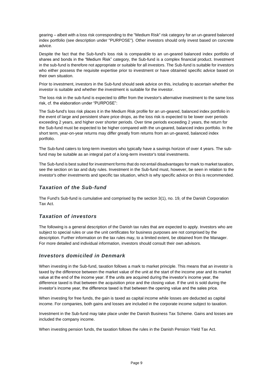gearing – albeit with a loss risk corresponding to the "Medium Risk" risk category for an un-geared balanced index portfolio (see description under "PURPOSE"). Other investors should only invest based on concrete advice.

Despite the fact that the Sub-fund's loss risk is comparable to an un-geared balanced index portfolio of shares and bonds in the "Medium Risk" category, the Sub-fund is a complex financial product. Investment in the sub-fund is therefore not appropriate or suitable for all investors. The Sub-fund is suitable for investors who either possess the requisite expertise prior to investment or have obtained specific advice based on their own situation.

Prior to investment, investors in the Sub-fund should seek advice on this, including to ascertain whether the investor is suitable and whether the investment is suitable for the investor.

The loss risk in the sub-fund is expected to differ from the investor's alternative investment to the same loss risk, cf. the elaboration under "PURPOSE":

The Sub-fund's loss risk places it in the Medium Risk profile for an un-geared, balanced index portfolio in the event of large and persistent share price drops, as the loss risk is expected to be lower over periods exceeding 2 years, and higher over shorter periods. Over time periods exceeding 2 years, the return for the Sub-fund must be expected to be higher compared with the un-geared, balanced index portfolio. In the short term, year-on-year returns may differ greatly from returns from an un-geared, balanced index portfolio.

The Sub-fund caters to long-term investors who typically have a savings horizon of over 4 years. The subfund may be suitable as an integral part of a long-term investor's total investments.

The Sub-fund is best suited for investment forms that do not entail disadvantages for mark to market taxation, see the section on tax and duty rules. Investment in the Sub-fund must, however, be seen in relation to the investor's other investments and specific tax situation, which is why specific advice on this is recommended.

## *Taxation of the Sub-fund*

The Fund's Sub-fund is cumulative and comprised by the section 3(1), no. 19, of the Danish Corporation Tax Act.

## *Taxation of investors*

The following is a general description of the Danish tax rules that are expected to apply. Investors who are subject to special rules or use the unit certificates for business purposes are not comprised by the description. Further information on the tax rules may, to a limited extent, be obtained from the Manager. For more detailed and individual information, investors should consult their own advisors.

## *Investors domiciled in Denmark*

When investing in the Sub-fund, taxation follows a mark to market principle. This means that an investor is taxed by the difference between the market value of the unit at the start of the income year and its market value at the end of the income year. If the units are acquired during the investor's income year, the difference taxed is that between the acquisition price and the closing value. If the unit is sold during the investor's income year, the difference taxed is that between the opening value and the sales price.

When investing for free funds, the gain is taxed as capital income while losses are deducted as capital income. For companies, both gains and losses are included in the corporate income subject to taxation.

Investment in the Sub-fund may take place under the Danish Business Tax Scheme. Gains and losses are included the company income.

When investing pension funds, the taxation follows the rules in the Danish Pension Yield Tax Act.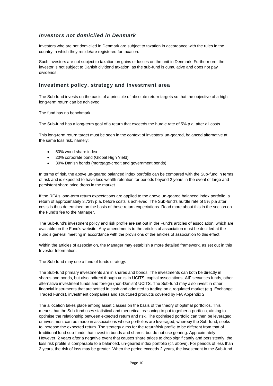## *Investors not domiciled in Denmark*

Investors who are not domiciled in Denmark are subject to taxation in accordance with the rules in the country in which they reside/are registered for taxation.

Such investors are not subject to taxation on gains or losses on the unit in Denmark. Furthermore, the investor is not subject to Danish dividend taxation, as the sub-fund is cumulative and does not pay dividends.

## <span id="page-10-0"></span>**Investment policy, strategy and investment area**

The Sub-fund invests on the basis of a principle of absolute return targets so that the objective of a high long-term return can be achieved.

The fund has no benchmark.

The Sub-fund has a long-term goal of a return that exceeds the hurdle rate of 5% p.a. after all costs.

This long-term return target must be seen in the context of investors' un-geared, balanced alternative at the same loss risk, namely:

- 50% world share index
- 20% corporate bond (Global High Yield)
- 30% Danish bonds (mortgage-credit and government bonds)

In terms of risk, the above un-geared balanced index portfolio can be compared with the Sub-fund in terms of risk and is expected to have less wealth retention for periods beyond 2 years in the event of large and persistent share price drops in the market.

If the RFA's long-term return expectations are applied to the above un-geared balanced index portfolio, a return of approximately 3.72% p.a. before costs is achieved. The Sub-fund's hurdle rate of 5% p.a after costs is thus determined on the basis of these return expectations. Read more about this in the section on the Fund's fee to the Manager.

The Sub-fund's investment policy and risk profile are set out in the Fund's articles of association, which are available on the Fund's website. Any amendments to the articles of association must be decided at the Fund's general meeting in accordance with the provisions of the articles of association to this effect.

Within the articles of association, the Manager may establish a more detailed framework, as set out in this Investor Information.

The Sub-fund may use a fund of funds strategy.

The Sub-fund primary investments are in shares and bonds. The investments can both be directly in shares and bonds, but also indirect though units in UCITS, capital associations, AIF securities funds, other alternative investment funds and foreign (non-Danish) UCITS. The Sub-fund may also invest in other financial instruments that are settled in cash and admitted to trading on a regulated market (e.g. Exchange Traded Funds), investment companies and structured products covered by FIA Appendix 2.

The allocation takes place among asset classes on the basis of the theory of optimal portfolios. This means that the Sub-fund uses statistical and theoretical reasoning to put together a portfolio, aiming to optimise the relationship between expected return and risk. The optimised portfolio can then be leveraged, or investment can be made in associations whose portfolios are leveraged, whereby the Sub-fund, seeks to increase the expected return. The strategy aims for the return/risk profile to be different from that of traditional fund sub-funds that invest in bonds and shares, but do not use gearing. Approximately However, 2 years after a negative event that causes share prices to drop significantly and persistently, the loss risk profile is comparable to a balanced, un-geared index portfolio (cf. above). For periods of less than 2 years, the risk of loss may be greater. When the period exceeds 2 years, the investment in the Sub-fund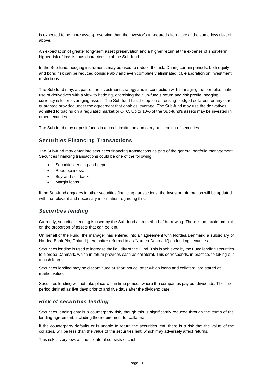is expected to be more asset-preserving than the investor's un-geared alternative at the same loss risk, cf. above.

An expectation of greater long-term asset preservation and a higher return at the expense of short-term higher risk of loss is thus characteristic of the Sub-fund.

In the Sub-fund, hedging instruments may be used to reduce the risk. During certain periods, both equity and bond risk can be reduced considerably and even completely eliminated, cf. elaboration on investment restrictions.

The Sub-fund may, as part of the investment strategy and in connection with managing the portfolio, make use of derivatives with a view to hedging, optimising the Sub-fund's return and risk profile, hedging currency risks or leveraging assets. The Sub-fund has the option of reusing pledged collateral or any other guarantee provided under the agreement that enables leverage. The Sub-fund may use the derivatives admitted to trading on a regulated market or OTC. Up to 10% of the Sub-fund's assets may be invested in other securities.

The Sub-fund may deposit funds in a credit institution and carry out lending of securities.

## <span id="page-11-0"></span>**Securities Financing Transactions**

The Sub-fund may enter into securities financing transactions as part of the general portfolio management. Securities financing transactions could be one of the following:

- Securities lending and deposits
- Repo business,
- Buy-and-sell-back,
- Margin loans

If the Sub-fund engages in other securities financing transactions, the Investor Information will be updated with the relevant and necessary information regarding this.

## *Securities lending*

Currently, securities lending is used by the Sub-fund as a method of borrowing. There is no maximum limit on the proportion of assets that can be lent.

On behalf of the Fund, the manager has entered into an agreement with Nordea Denmark, a subsidiary of Nordea Bank Plc, Finland (hereinafter referred to as 'Nordea Denmark') on lending securities.

Securities lending is used to increase the liquidity of the Fund. This is achieved by the Fund lending securities to Nordea Danmark, which in return provides cash as collateral. This corresponds, in practice, to taking out a cash loan.

Securities lending may be discontinued at short notice, after which loans and collateral are stated at market value.

Securities lending will not take place within time periods where the companies pay out dividends. The time period defined as five days prior to and five days after the dividend date.

## *Risk of securities lending*

Securities lending entails a counterparty risk, though this is significantly reduced through the terms of the lending agreement, including the requirement for collateral.

If the counterparty defaults or is unable to return the securities lent, there is a risk that the value of the collateral will be less than the value of the securities lent, which may adversely affect returns.

This risk is very low, as the collateral consists of cash.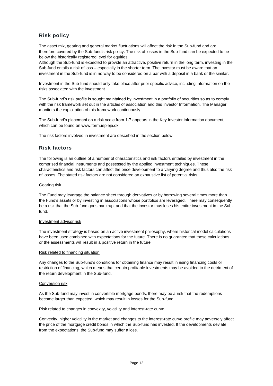# <span id="page-12-0"></span>**Risk policy**

The asset mix, gearing and general market fluctuations will affect the risk in the Sub-fund and are therefore covered by the Sub-fund's risk policy. The risk of losses in the Sub-fund can be expected to be below the historically registered level for equities.

Although the Sub-fund is expected to provide an attractive, positive return in the long term, investing in the Sub-fund entails a risk of loss – especially in the shorter term. The investor must be aware that an investment in the Sub-fund is in no way to be considered on a par with a deposit in a bank or the similar.

Investment in the Sub-fund should only take place after prior specific advice, including information on the risks associated with the investment.

The Sub-fund's risk profile is sought maintained by investment in a portfolio of securities so as to comply with the risk framework set out in the articles of association and this Investor Information. The Manager monitors the exploitation of this framework continuously.

The Sub-fund's placement on a risk scale from 1-7 appears in the Key Investor information document, which can be found on www.formuepleje.dk

The risk factors involved in investment are described in the section below.

## <span id="page-12-1"></span>**Risk factors**

The following is an outline of a number of characteristics and risk factors entailed by investment in the comprised financial instruments and possessed by the applied investment techniques. These characteristics and risk factors can affect the price development to a varying degree and thus also the risk of losses. The stated risk factors are not considered an exhaustive list of potential risks.

#### Gearing risk

The Fund may leverage the balance sheet through derivatives or by borrowing several times more than the Fund's assets or by investing in associations whose portfolios are leveraged. There may consequently be a risk that the Sub-fund goes bankrupt and that the investor thus loses his entire investment in the Subfund.

#### Investment advisor risk

The investment strategy is based on an active investment philosophy, where historical model calculations have been used combined with expectations for the future. There is no guarantee that these calculations or the assessments will result in a positive return in the future.

#### Risk related to financing situation

Any changes to the Sub-fund's conditions for obtaining finance may result in rising financing costs or restriction of financing, which means that certain profitable investments may be avoided to the detriment of the return development in the Sub-fund.

#### Conversion risk

As the Sub-fund may invest in convertible mortgage bonds, there may be a risk that the redemptions become larger than expected, which may result in losses for the Sub-fund.

#### Risk related to changes in convexity, volatility and interest-rate curve

Convexity, higher volatility in the market and changes to the interest-rate curve profile may adversely affect the price of the mortgage credit bonds in which the Sub-fund has invested. If the developments deviate from the expectations, the Sub-fund may suffer a loss.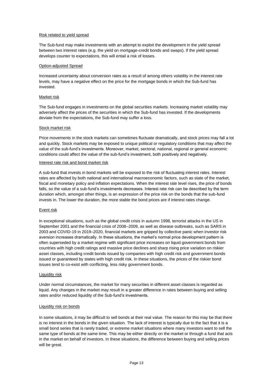#### Risk related to yield spread

The Sub-fund may make investments with an attempt to exploit the development in the yield spread between two interest rates (e.g. the yield on mortgage-credit bonds and swaps). If the yield spread develops counter to expectations, this will entail a risk of losses.

#### Option-adjusted Spread

Increased uncertainty about conversion rates as a result of among others volatility in the interest rate levels, may have a negative effect on the price for the mortgage bonds in which the Sub-fund has invested.

#### Market risk

The Sub-fund engages in investments on the global securities markets. Increasing market volatility may adversely affect the prices of the securities in which the Sub-fund has invested. If the developments deviate from the expectations, the Sub-fund may suffer a loss.

#### Stock market risk

Price movements in the stock markets can sometimes fluctuate dramatically, and stock prices may fall a lot and quickly. Stock markets may be exposed to unique political or regulatory conditions that may affect the value of the sub-fund's investments. Moreover, market, sectoral, national, regional or general economic conditions could affect the value of the sub-fund's investment, both positively and negatively.

#### Interest rate risk and bond market risk

A sub-fund that invests in bond markets will be exposed to the risk of fluctuating interest rates. Interest rates are affected by both national and international macroeconomic factors, such as state of the market, fiscal and monetary policy and inflation expectations. When the interest rate level rises, the price of bonds falls, so the value of a sub-fund's investments decreases. Interest rate risk can be described by the term duration which, amongst other things, is an expression of the price risk on the bonds that the sub-fund invests in. The lower the duration, the more stable the bond prices are if interest rates change.

#### Event risk

In exceptional situations, such as the global credit crisis in autumn 1998, terrorist attacks in the US in September 2001 and the financial crisis of 2008–2009, as well as disease outbreaks, such as SARS in 2003 and COVID-19 in 2019–2020, financial markets are gripped by collective panic when investor risk aversion increases dramatically. In these situations, the market's normal price development pattern is often superseded by a market regime with significant price increases on liquid government bonds from countries with high credit ratings and massive price declines and sharp rising price variation on riskier asset classes, including credit bonds issued by companies with high credit risk and government bonds issued or guaranteed by states with high credit risk. In these situations, the prices of the riskier bond issues tend to co-exist with conflicting, less risky government bonds.

#### Liquidity risk

Under normal circumstances, the market for many securities in different asset classes is regarded as liquid. Any changes in the market may result in a greater difference in rates between buying and selling rates and/or reduced liquidity of the Sub-fund's investments.

#### Liquidity risk on bonds

In some situations, it may be difficult to sell bonds at their real value. The reason for this may be that there is no interest in the bonds in the given situation. The lack of interest is typically due to the fact that it is a small bond series that is rarely traded, or extreme market situations where many investors want to sell the same type of bonds at the same time. This may be either directly on the market or through a fund that acts in the market on behalf of investors. In these situations, the difference between buying and selling prices will be great.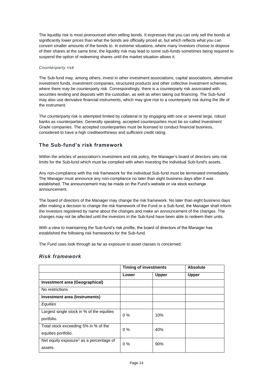The liquidity risk is most pronounced when selling bonds. It expresses that you can only sell the bonds at significantly lower prices than what the bonds are officially priced at, but which reflects what you can convert smaller amounts of the bonds to. In extreme situations, where many investors choose to dispose of their shares at the same time, the liquidity risk may lead to some sub-funds sometimes being required to suspend the option of redeeming shares until the market situation allows it.

#### *Counterparty risk*

The Sub-fund may, among others, invest in other investment associations, capital associations, alternative investment funds, investment companies, structured products and other collective investment schemes, where there may be counterparty risk. Correspondingly, there is a counterparty risk associated with securities lending and deposits with the custodian, as well as when taking out financing. The Sub-fund may also use derivative financial instruments, which may give rise to a counterparty risk during the life of the instrument.

The counterparty risk is attempted limited by collateral or by engaging with one or several large, robust banks as counterparties. Generally speaking, accepted counterparties must be so-called Investment Grade companies. The accepted counterparties must be licensed to conduct financial business, considered to have a high creditworthiness and sufficient credit rating.

# <span id="page-14-0"></span>**The Sub-fund's risk framework**

Within the articles of association's investment and risk policy, the Manager's board of directors sets risk limits for the Sub-fund which must be complied with when investing the individual Sub-fund's assets.

Any non-compliance with the risk framework for the individual Sub-fund must be terminated immediately. The Manager must announce any non-compliance no later than eight business days after it was established. The announcement may be made on the Fund's website or via stock exchange announcement.

The board of directors of the Manager may change the risk framework. No later than eight business days after making a decision to change the risk framework of the Fund or a Sub-fund, the Manager shall inform the investors registered by name about the changes and make an announcement of the changes. The changes may not be affected until the investors in the Sub-fund have been able to redeem their units.

With a view to maintaining the Sub-fund's risk profile, the board of directors of the Manager has established the following risk frameworks for the Sub-fund.

The Fund uses look through as far as exposure to asset classes is concerned.

## *Risk framework*

|                                                     | <b>Timing of investments</b> |              | <b>Absolute</b> |
|-----------------------------------------------------|------------------------------|--------------|-----------------|
|                                                     | Lower                        | <b>Upper</b> | <b>Upper</b>    |
| Investment area (Geographical)                      |                              |              |                 |
| No restrictions                                     |                              |              |                 |
| Investment area (Instruments)                       |                              |              |                 |
| Equities                                            |                              |              |                 |
| Largest single stock in % of the equities           | $0\%$                        | 10%          |                 |
| portfolio.                                          |                              |              |                 |
| Total stock exceeding 5% in % of the                | $0\%$                        | 40%          |                 |
| equities portfolio.                                 |                              |              |                 |
| Net equity exposure <sup>1</sup> as a percentage of | $0\%$                        | 90%          |                 |
| assets.                                             |                              |              |                 |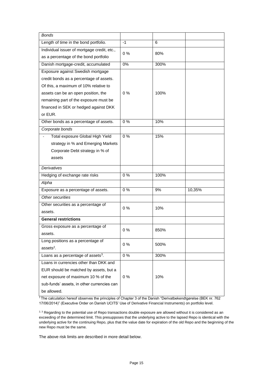| <b>Bonds</b>                                   |       |      |        |
|------------------------------------------------|-------|------|--------|
| Length of time in the bond portfolio.          | $-1$  | 6    |        |
| Individual issuer of mortgage credit, etc.,    | 0%    | 80%  |        |
| as a percentage of the bond portfolio          |       |      |        |
| Danish mortgage-credit, accumulated            | 0%    | 300% |        |
| Exposure against Swedish mortgage              |       |      |        |
| credit bonds as a percentage of assets.        |       |      |        |
| Of this, a maximum of 10% relative to          |       |      |        |
| assets can be an open position, the            | $0\%$ | 100% |        |
| remaining part of the exposure must be         |       |      |        |
| financed in SEK or hedged against DKK          |       |      |        |
| or EUR.                                        |       |      |        |
| Other bonds as a percentage of assets.         | 0%    | 10%  |        |
| Corporate bonds                                |       |      |        |
| Total exposure Global High Yield               | $0\%$ | 15%  |        |
| strategy in % and Emerging Markets             |       |      |        |
| Corporate Debt strategy in % of                |       |      |        |
| assets                                         |       |      |        |
| <b>Derivatives</b>                             |       |      |        |
| Hedging of exchange rate risks                 | 0%    | 100% |        |
| Alpha                                          |       |      |        |
| Exposure as a percentage of assets.            | 0%    | 9%   | 10,35% |
| Other securities                               |       |      |        |
| Other securities as a percentage of            |       |      |        |
| assets.                                        | $0\%$ | 10%  |        |
| <b>General restrictions</b>                    |       |      |        |
| Gross exposure as a percentage of              |       |      |        |
| assets.                                        | $0\%$ | 850% |        |
| Long positions as a percentage of              |       | 500% |        |
| $ases2$ .                                      | 0%    |      |        |
| Loans as a percentage of assets <sup>3</sup> . | $0\%$ | 300% |        |
| Loans in currencies other than DKK and         |       |      |        |
| EUR should be matched by assets, but a         |       |      |        |
| net exposure of maximum 10 % of the            | 0%    | 10%  |        |
| sub-funds' assets, in other currencies can     |       |      |        |
| be allowed.                                    |       |      |        |

<sup>1</sup> The calculation hereof observes the principles of Chapter 3 of the Danish "Derivatbekendtgørelse (BEK nr. 762 17/06/2014)" (Executive Order on Danish UCITS' Use of Derivative Financial Instruments) on portfolio level.

<sup>2, 3</sup> Regarding to the potential use of Repo transactions double exposure are allowed without it is considered as an exceeding of the determined limit. This presupposes that the underlying active to the lapsed Repo is identical with the underlying active for the continuing Repo, plus that the value date for expiration of the old Repo and the beginning of the new Repo must be the same.

The above risk limits are described in more detail below.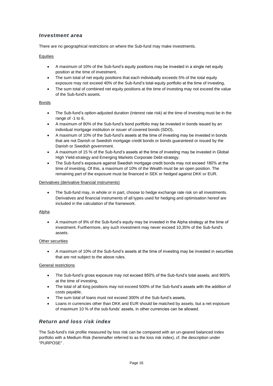## *Investment area*

There are no geographical restrictions on where the Sub-fund may make investments.

#### **Equities**

- A maximum of 10% of the Sub-fund's equity positions may be invested in a single net equity position at the time of investment,
- The sum total of net equity positions that each individually exceeds 5% of the total equity exposure may not exceed 40% of the Sub-fund's total equity portfolio at the time of investing,
- The sum total of combined net equity positions at the time of investing may not exceed the value of the Sub-fund's assets.

#### Bonds

- The Sub-fund's option-adjusted duration (interest rate risk) at the time of investing must be in the range of -1 to 6,
- A maximum of 80% of the Sub-fund's bond portfolio may be invested in bonds issued by an individual mortgage institution or issuer of covered bonds (SDO),
- A maximum of 10% of the Sub-fund's assets at the time of investing may be invested in bonds that are not Danish or Swedish mortgage credit bonds or bonds guaranteed or issued by the Danish or Swedish government.
- A maximum of 15 % of the Sub-fund's assets at the time of investing may be invested in Global High Yield-strategy and Emerging Markets Corporate Debt-strategy.
- The Sub-fund's exposure against Swedish mortgage credit bonds may not exceed 180% at the time of investing. Of this, a maximum of 10% of the Wealth must be an open position. The remaining part of the exposure must be financed in SEK or hedged against DKK or EUR.

#### Derivatives (derivative financial instruments)

• The Sub-fund may, in whole or in part, choose to hedge exchange rate risk on all investments. Derivatives and financial instruments of all types used for hedging and optimisation hereof are included in the calculation of the framework.

#### Alpha

• A maximum of 9% of the Sub-fund's equity may be invested in the Alpha strategy at the time of investment. Furthermore, any such investment may never exceed 10,35% of the Sub-fund's assets.

#### Other securities

• A maximum of 10% of the Sub-fund's assets at the time of investing may be invested in securities that are not subject to the above rules.

#### General restrictions

- The Sub-fund's gross exposure may not exceed 850% of the Sub-fund's total assets, and 900% at the time of investing,
- The total of all long positions may not exceed 500% of the Sub-fund's assets with the addition of costs payable,
- The sum total of loans must not exceed 300% of the Sub-fund's assets,
- Loans in currencies other than DKK and EUR should be matched by assets, but a net exposure of maximum 10 % of the sub-funds' assets, in other currencies can be allowed.

# *Return and loss risk index*

The Sub-fund's risk profile measured by loss risk can be compared with an un-geared balanced index portfolio with a Medium Risk (hereinafter referred to as the loss risk index), cf. the description under "PURPOSE" .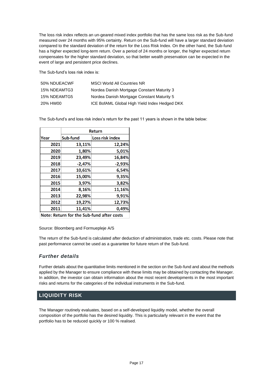The loss risk index reflects an un-geared mixed index portfolio that has the same loss risk as the Sub-fund measured over 24 months with 95% certainty. Return on the Sub-fund will have a larger standard deviation compared to the standard deviation of the return for the Loss Risk Index. On the other hand, the Sub-fund has a higher expected long-term return. Over a period of 24 months or longer, the higher expected return compensates for the higher standard deviation, so that better wealth preservation can be expected in the event of large and persistent price declines.

The Sub-fund's loss risk index is:

| 50% NDUEACWF | <b>MSCI World All Countries NR</b>            |
|--------------|-----------------------------------------------|
| 15% NDEAMTG3 | Nordea Danish Mortgage Constant Maturity 3    |
| 15% NDEAMTG5 | Nordea Danish Mortgage Constant Maturity 5    |
| 20% HW00     | ICE BofAML Global High Yield Index Hedged DKK |

The Sub-fund's and loss risk index's return for the past 11 years is shown in the table below:

|      | <b>Return</b> |                 |  |  |
|------|---------------|-----------------|--|--|
| Year | Sub-fund      | Loss risk index |  |  |
| 2021 | 13,11%        | 12,24%          |  |  |
| 2020 | 1,80%         | 5,01%           |  |  |
| 2019 | 23,49%        | 16,84%          |  |  |
| 2018 | $-2,47%$      | $-2,93%$        |  |  |
| 2017 | 10,61%        | 6,54%           |  |  |
| 2016 | 15,00%        | 9,35%           |  |  |
| 2015 | 3,97%         | 3,82%           |  |  |
| 2014 | 8,16%         | 11,16%          |  |  |
| 2013 | 22,98%        | 9,91%           |  |  |
| 2012 | 19,27%        | 12,73%          |  |  |
| 2011 | 11,41%        | 0,49%           |  |  |

Note: Return for the Sub-fund after costs

Source: Bloomberg and Formuepleje A/S

The return of the Sub-fund is calculated after deduction of administration, trade etc. costs. Please note that past performance cannot be used as a guarantee for future return of the Sub-fund.

# *Further details*

Further details about the quantitative limits mentioned in the section on the Sub-fund and about the methods applied by the Manager to ensure compliance with these limits may be obtained by contacting the Manager. In addition, the investor can obtain information about the most recent developments in the most important risks and returns for the categories of the individual instruments in the Sub-fund.

# <span id="page-17-0"></span>**LIQUIDITY RISK**

The Manager routinely evaluates, based on a self-developed liquidity model, whether the overall composition of the portfolio has the desired liquidity. This is particularly relevant in the event that the portfolio has to be reduced quickly or 100 % realised.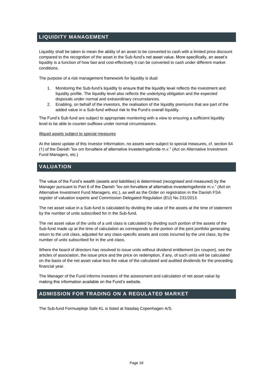# <span id="page-18-0"></span>**LIQUIDITY MANAGEMENT**

Liquidity shall be taken to mean the ability of an asset to be converted to cash with a limited price discount compared to the recognition of the asset in the Sub-fund's net asset value. More specifically, an asset's liquidity is a function of how fast and cost-effectively it can be converted to cash under different market conditions.

The purpose of a risk management framework for liquidity is dual:

- 1. Monitoring the Sub-fund's liquidity to ensure that the liquidity level reflects the investment and liquidity profile. The liquidity level also reflects the underlying obligation and the expected disposals under normal and extraordinary circumstances.
- 2. Enabling, on behalf of the investors, the realisation of the liquidity premiums that are part of the added value in a Sub-fund without risk to the Fund's overall liquidity.

The Fund's Sub-fund are subject to appropriate monitoring with a view to ensuring a sufficient liquidity level to be able to counter outflows under normal circumstances.

#### Illiquid assets subject to special measures

At the latest update of this Investor Information, no assets were subject to special measures, cf. section 64 (1) of the Danish "lov om forvaltere af alternative investeringsfonde m.v." (Act on Alternative Investment Fund Managers, etc.)

# <span id="page-18-1"></span>**VALUATION**

The value of the Fund's wealth (assets and liabilities) is determined (recognised and measured) by the Manager pursuant to Part 6 of the Danish "lov om forvaltere af alternative investeringsfonde m.v." (Act on Alternative Investment Fund Managers, etc.), as well as the Order on registration in the Danish FSA register of valuation experts and Commission Delegated Regulation (EU) No 231/2013.

The net asset value in a Sub-fund is calculated by dividing the value of the assets at the time of statement by the number of units subscribed for in the Sub-fund.

The net asset value of the units of a unit class is calculated by dividing such portion of the assets of the Sub-fund made up at the time of calculation as corresponds to the portion of the joint portfolio generating return to the unit class, adjusted for any class-specific assets and costs incurred by the unit class, by the number of units subscribed for in the unit class.

Where the board of directors has resolved to issue units without dividend entitlement (ex coupon), see the articles of association, the issue price and the price on redemption, if any, of such units will be calculated on the basis of the net asset value less the value of the calculated and audited dividends for the preceding financial year.

The Manager of the Fund informs investors of the assessment and calculation of net asset value by making this information available on the Fund's website.

# <span id="page-18-2"></span>**ADMISSION FOR TRADING ON A REGULATED MARKET**

The Sub-fund Formuepleje Safe KL is listed at Nasdaq Copenhagen A/S.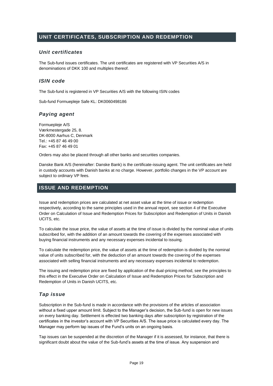# <span id="page-19-0"></span>**UNIT CERTIFICATES, SUBSCRIPTION AND REDEMPTION**

## *Unit certificates*

The Sub-fund issues certificates. The unit certificates are registered with VP Securities A/S in denominations of DKK 100 and multiples thereof.

#### *ISIN code*

The Sub-fund is registered in VP Securities A/S with the following ISIN codes

Sub-fund Formuepleje Safe KL: DK0060498186

## *Paying agent*

Formuepleje A/S Værkmestergade 25, 8. DK-8000 Aarhus C, Denmark Tel.: +45 87 46 49 00 Fax: +45 87 46 49 01

Orders may also be placed through all other banks and securities companies.

Danske Bank A/S (hereinafter: Danske Bank) is the certificate-issuing agent. The unit certificates are held in custody accounts with Danish banks at no charge. However, portfolio changes in the VP account are subject to ordinary VP fees.

# <span id="page-19-1"></span>**ISSUE AND REDEMPTION**

Issue and redemption prices are calculated at net asset value at the time of issue or redemption respectively, according to the same principles used in the annual report, see section 4 of the Executive Order on Calculation of Issue and Redemption Prices for Subscription and Redemption of Units in Danish UCITS, etc.

To calculate the issue price, the value of assets at the time of issue is divided by the nominal value of units subscribed for, with the addition of an amount towards the covering of the expenses associated with buying financial instruments and any necessary expenses incidental to issuing.

To calculate the redemption price, the value of assets at the time of redemption is divided by the nominal value of units subscribed for, with the deduction of an amount towards the covering of the expenses associated with selling financial instruments and any necessary expenses incidental to redemption.

The issuing and redemption price are fixed by application of the dual-pricing method, see the principles to this effect in the Executive Order on Calculation of Issue and Redemption Prices for Subscription and Redemption of Units in Danish UCITS, etc.

## *Tap issue*

Subscription in the Sub-fund is made in accordance with the provisions of the articles of association without a fixed upper amount limit. Subject to the Manager's decision, the Sub-fund is open for new issues on every banking day. Settlement is effected two banking days after subscription by registration of the certificates in the investor's account with VP Securities A/S. The issue price is calculated every day. The Manager may perform tap issues of the Fund's units on an ongoing basis.

Tap issues can be suspended at the discretion of the Manager if it is assessed, for instance, that there is significant doubt about the value of the Sub-fund's assets at the time of issue. Any suspension and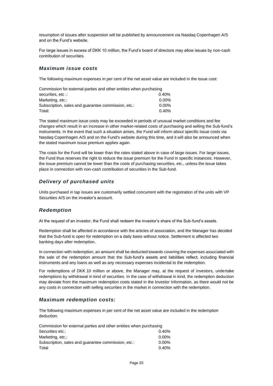resumption of issues after suspension will be published by announcement via Nasdaq Copenhagen A/S and on the Fund's website.

For large issues in excess of DKK 10 million, the Fund's board of directors may allow issues by non-cash contribution of securities.

## *Maximum issue costs*

The following maximum expenses in per cent of the net asset value are included in the issue cost:

| Commission for external parties and other entities when purchasing |          |  |  |  |
|--------------------------------------------------------------------|----------|--|--|--|
| securities, etc.:                                                  | $0.40\%$ |  |  |  |
| Marketing, etc.:                                                   | $0.00\%$ |  |  |  |
| Subscription, sales and quarantee commission, etc.:                | $0.00\%$ |  |  |  |
| Total:                                                             | $0.40\%$ |  |  |  |

The stated maximum issue costs may be exceeded in periods of unusual market conditions and fee changes which result in an increase in other market-related costs of purchasing and selling the Sub-fund's instruments. In the event that such a situation arises, the Fund will inform about specific issue costs via Nasdaq Copenhagen A/S and on the Fund's website during this time, and it will also be announced when the stated maximum issue premium applies again.

The costs for the Fund will be lower than the rates stated above in case of large issues. For large issues, the Fund thus reserves the right to reduce the issue premium for the Fund in specific instances. However, the issue premium cannot be lower than the costs of purchasing securities, etc., unless the issue takes place in connection with non-cash contribution of securities in the Sub-fund.

# *Delivery of purchased units*

Units purchased in tap issues are customarily settled concurrent with the registration of the units with VP Securities A/S on the investor's account.

## *Redemption*

At the request of an investor, the Fund shall redeem the investor's share of the Sub-fund's assets.

Redemption shall be affected in accordance with the articles of association, and the Manager has decided that the Sub-fund is open for redemption on a daily basis without notice. Settlement is affected two banking days after redemption.

In connection with redemption, an amount shall be deducted towards covering the expenses associated with the sale of the redemption amount that the Sub-fund's assets and liabilities reflect, including financial instruments and any loans as well as any necessary expenses incidental to the redemption.

For redemptions of DKK 10 million or above, the Manager may, at the request of investors, undertake redemptions by withdrawal in kind of securities. In the case of withdrawal in kind, the redemption deduction may deviate from the maximum redemption costs stated in the Investor Information, as there would not be any costs in connection with selling securities in the market in connection with the redemption.

## *Maximum redemption costs:*

The following maximum expenses in per cent of the net asset value are included in the redemption deduction:

| Commission for external parties and other entities when purchasing |          |  |  |  |
|--------------------------------------------------------------------|----------|--|--|--|
| Securities etc.:                                                   | 0.40%    |  |  |  |
| Marketing, etc.:                                                   | $0.00\%$ |  |  |  |
| Subscription, sales and quarantee commission, etc.:                | $0.00\%$ |  |  |  |
| Total                                                              | 0.40%    |  |  |  |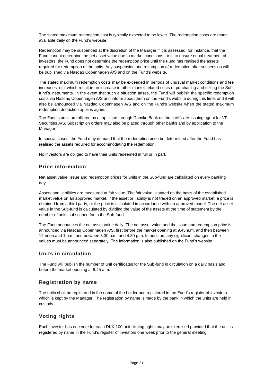The stated maximum redemption cost is typically expected to be lower. The redemption costs are made available daily on the Fund's website.

Redemption may be suspended at the discretion of the Manager if it is assessed, for instance, that the Fund cannot determine the net asset value due to market conditions, or if, to ensure equal treatment of investors, the Fund does not determine the redemption price until the Fund has realised the assets required for redemption of the units. Any suspension and resumption of redemption after suspension will be published via Nasdaq Copenhagen A/S and on the Fund's website.

The stated maximum redemption costs may be exceeded in periods of unusual market conditions and fee increases, etc. which result in an increase in other market-related costs of purchasing and selling the Subfund's instruments. In the event that such a situation arises, the Fund will publish the specific redemption costs via Nasdaq Copenhagen A/S and inform about them on the Fund's website during this time, and it will also be announced via Nasdaq Copenhagen A/S and on the Fund's website when the stated maximum redemption deduction applies again.

The Fund's units are offered as a tap issue through Danske Bank as the certificate-issuing agent for VP Securities A/S. Subscription orders may also be placed through other banks and by application to the Manager.

In special cases, the Fund may demand that the redemption price be determined after the Fund has realised the assets required for accommodating the redemption.

No investors are obliged to have their units redeemed in full or in part.

## <span id="page-21-0"></span>**Price information**

Net asset value, issue and redemption prices for units in the Sub-fund are calculated on every banking day.

Assets and liabilities are measured at fair value. The fair value is stated on the basis of the established market value on an approved market. If the asset or liability is not traded on an approved market, a price is obtained from a third party, or the price is calculated in accordance with an approved model. The net asset value in the Sub-fund is calculated by dividing the value of the assets at the time of statement by the number of units subscribed for in the Sub-fund.

The Fund announces the net asset value daily. The net asset value and the issue and redemption price is announced via Nasdaq Copenhagen A/S, first before the market opening at 9.45 a.m. and then between 12 noon and 1 p.m. and between 3.30 p.m. and 4.30 p.m. In addition, any significant changes to the values must be announced separately. The information is also published on the Fund's website.

## <span id="page-21-1"></span>**Units in circulation**

The Fund will publish the number of unit certificates for the Sub-fund in circulation on a daily basis and before the market opening at 9.45 a.m.

## <span id="page-21-2"></span>**Registration by name**

The units shall be registered in the name of the holder and registered in the Fund's register of investors which is kept by the Manager. The registration by name is made by the bank in which the units are held in custody.

## <span id="page-21-3"></span>**Voting rights**

Each investor has one vote for each DKK 100 unit. Voting rights may be exercised provided that the unit is registered by name in the Fund's register of investors one week prior to the general meeting.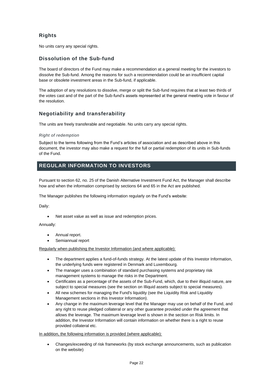# <span id="page-22-0"></span>**Rights**

No units carry any special rights.

## <span id="page-22-1"></span>**Dissolution of the Sub-fund**

The board of directors of the Fund may make a recommendation at a general meeting for the investors to dissolve the Sub-fund. Among the reasons for such a recommendation could be an insufficient capital base or obsolete investment areas in the Sub-fund, if applicable.

The adoption of any resolutions to dissolve, merge or split the Sub-fund requires that at least two thirds of the votes cast and of the part of the Sub-fund's assets represented at the general meeting vote in favour of the resolution.

## <span id="page-22-2"></span>**Negotiability and transferability**

The units are freely transferable and negotiable. No units carry any special rights.

#### *Right of redemption*

Subject to the terms following from the Fund's articles of association and as described above in this document, the investor may also make a request for the full or partial redemption of its units in Sub-funds of the Fund.

# <span id="page-22-3"></span>**REGULAR INFORMATION TO INVESTORS**

Pursuant to section 62, no. 25 of the Danish Alternative Investment Fund Act, the Manager shall describe how and when the information comprised by sections 64 and 65 in the Act are published.

The Manager publishes the following information regularly on the Fund's website:

Daily:

Net asset value as well as issue and redemption prices.

Annually:

- Annual report.
- Semiannual report

Regularly when publishing the Investor Information (and where applicable):

- The department applies a fund-of-funds strategy. At the latest update of this Investor Information, the underlying funds were registered in Denmark and Luxembourg.
- The manager uses a combination of standard purchasing systems and proprietary risk management systems to manage the risks in the Department.
- Certificates as a percentage of the assets of the Sub-Fund, which, due to their illiquid nature, are subject to special measures (see the section on Illiquid assets subject to special measures).
- All new schemes for managing the Fund's liquidity (see the Liquidity Risk and Liquidity Management sections in this Investor Information).
- Any change in the maximum leverage level that the Manager may use on behalf of the Fund, and any right to reuse pledged collateral or any other guarantee provided under the agreement that allows the leverage. The maximum leverage level is shown in the section on Risk limits. In addition, the Investor Information will contain information on whether there is a right to reuse provided collateral etc.

#### In addition, the following information is provided (where applicable):

• Changes/exceeding of risk frameworks (by stock exchange announcements, such as publication on the website)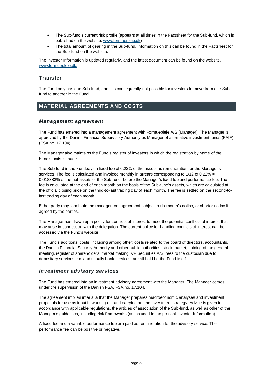- The Sub-fund's current risk profile (appears at all times in the Factsheet for the Sub-fund, which is published on the website, [www.formuepleje.dk\)](http://www.formuepleje.dk/)
- The total amount of gearing in the Sub-fund. Information on this can be found in the Factsheet for the Sub-fund on the website.

The Investor Information is updated regularly, and the latest document can be found on the website, www.formuepleje.dk.

## <span id="page-23-0"></span>**Transfer**

The Fund only has one Sub-fund, and it is consequently not possible for investors to move from one Subfund to another in the Fund.

# <span id="page-23-1"></span>**MATERIAL AGREEMENTS AND COSTS**

## *Management agreement*

The Fund has entered into a management agreement with Formuepleje A/S (Manager). The Manager is approved by the Danish Financial Supervisory Authority as Manager of alternative investment funds (FAIF) (FSA no. 17.104).

The Manager also maintains the Fund's register of investors in which the registration by name of the Fund's units is made.

The Sub-fund in the Fundpays a fixed fee of 0.22% of the assets as remuneration for the Manager's services. The fee is calculated and invoiced monthly in arrears corresponding to 1/12 of 0.22% = 0.018333% of the net assets of the Sub-fund, before the Manager's fixed fee and performance fee. The fee is calculated at the end of each month on the basis of the Sub-fund's assets, which are calculated at the official closing price on the third-to-last trading day of each month. The fee is settled on the second-tolast trading day of each month.

Either party may terminate the management agreement subject to six month's notice, or shorter notice if agreed by the parties.

The Manager has drawn up a policy for conflicts of interest to meet the potential conflicts of interest that may arise in connection with the delegation. The current policy for handling conflicts of interest can be accessed via the Fund's website.

The Fund's additional costs, including among other: costs related to the board of directors, accountants, the Danish Financial Security Authority and other public authorities, stock market, holding of the general meeting, register of shareholders, market making, VP Securities A/S, fees to the custodian due to depositary services etc. and usually bank services, are all hold be the Fund itself.

## *Investment advisory services*

The Fund has entered into an investment advisory agreement with the Manager. The Manager comes under the supervision of the Danish FSA, FSA no. 17.104.

The agreement implies inter alia that the Manager prepares macroeconomic analyses and investment proposals for use as input in working out and carrying out the investment strategy. Advice is given in accordance with applicable regulations, the articles of association of the Sub-fund, as well as other of the Manager's guidelines, including risk frameworks (as included in the present Investor Information).

A fixed fee and a variable performance fee are paid as remuneration for the advisory service. The performance fee can be positive or negative.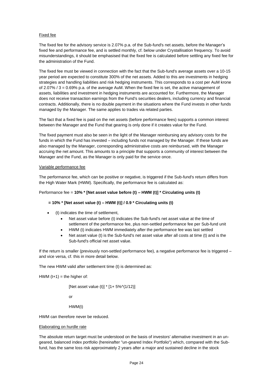#### Fixed fee

The fixed fee for the advisory service is 2.07% p.a. of the Sub-fund's net assets, before the Manager's fixed fee and performance fee, and is settled monthly, cf. below under Crystallisation frequency. To avoid misunderstandings, it should be emphasised that the fixed fee is calculated before settling any fixed fee for the administration of the Fund.

The fixed fee must be viewed in connection with the fact that the Sub-fund's average assets over a 10-15 year period are expected to constitute 300% of the net assets. Added to this are investments in hedging strategies and handling liabilities and risk hedging instruments. This corresponds to a cost per AuM krone of 2.07% / 3 = 0.69% p.a. of the average AuM. When the fixed fee is set, the active management of assets, liabilities and investment in hedging instruments are accounted for. Furthermore, the Manager does not receive transaction earnings from the Fund's securities dealers, including currency and financial contracts. Additionally, there is no double payment in the situations where the Fund invests in other funds managed by the Manager. The same applies to trades via related parties.

The fact that a fixed fee is paid on the net assets (before performance fees) supports a common interest between the Manager and the Fund that gearing is only done if it creates value for the Fund.

The fixed payment must also be seen in the light of the Manager reimbursing any advisory costs for the funds in which the Fund has invested – including funds not managed by the Manager. If these funds are also managed by the Manager, corresponding administrative costs are reimbursed, with the Manager accruing the net amount. This amounts to a principle that supports a community of interest between the Manager and the Fund, as the Manager is only paid for the service once.

#### Variable performance fee

The performance fee, which can be positive or negative, is triggered if the Sub-fund's return differs from the High Water Mark (HWM). Specifically, the performance fee is calculated as:

#### Performance fee = **10% \* [Net asset value before (t) – HWM (t)] \* Circulating units (t)**

#### **= 10% \* [Net asset value (t) – HWM (t)] / 0.9 \* Circulating units (t)**

- (t) indicates the time of settlement,
	- Net asset value before (t) indicates the Sub-fund's net asset value at the time of settlement of the performance fee, plus non-settled performance fee per Sub-fund unit
	- HWM (t) indicates HWM immediately after the performance fee was last settled
	- Net asset value (t) is the Sub-fund's net asset value after all costs at time (t) and is the Sub-fund's official net asset value.

If the return is smaller (previously non-settled performance fee), a negative performance fee is triggered – and vice versa, cf. this in more detail below.

The new HWM valid after settlement time (t) is determined as:

HWM  $(t+1)$  = the higher of:

```
[Net asset value (t)] * [1+ 5%^(1/12)]
```
or

HWM(t)

HWM can therefore never be reduced.

#### Elaborating on hurdle rate

The absolute return target must be understood on the basis of investors' alternative investment in an ungeared, balanced index portfolio (hereinafter "un-geared Index Portfolio") which, compared with the Subfund, has the same loss risk approximately 2 years after a major and sustained decline in the stock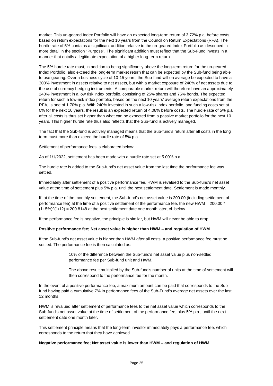market. This un-geared Index Portfolio will have an expected long-term return of 3.72% p.a. before costs, based on return expectations for the next 10 years from the Council on Return Expectations (RFA). The hurdle rate of 5% contains a significant addition relative to the un-geared Index Portfolio as described in more detail in the section "Purpose". The significant addition must reflect that the Sub-Fund invests in a manner that entails a legitimate expectation of a higher long-term return.

The 5% hurdle rate must, in addition to being significantly above the long-term return for the un-geared Index Portfolio, also exceed the long-term market return that can be expected by the Sub-fund being able to use gearing. Over a business cycle of 10-15 years, the Sub-fund will on average be expected to have a 300% investment in assets relative to net assets, but with a market exposure of 240% of net assets due to the use of currency hedging instruments. A comparable market return will therefore have an approximately 240% investment in a low risk index portfolio, consisting of 25% shares and 75% bonds. The expected return for such a low-risk index portfolio, based on the next 10 years' average return expectations from the RFA, is one of 1.70% p.a. With 240% invested in such a low-risk index portfolio, and funding costs set at 0% for the next 10 years, the result is an expected return of 4.08% before costs. The hurdle rate of 5% p.a. after all costs is thus set higher than what can be expected from a passive market portfolio for the next 10 years. This higher hurdle rate thus also reflects that the Sub-fund is actively managed.

The fact that the Sub-fund is actively managed means that the Sub-fund's return after all costs in the long term must more than exceed the hurdle rate of 5% p.a.

#### Settlement of performance fees is elaborated below:

As of 1/1/2022, settlement has been made with a hurdle rate set at 5.00% p.a.

The hurdle rate is added to the Sub-fund's net asset value from the last time the performance fee was settled.

Immediately after settlement of a positive performance fee, HWM is revalued to the Sub-fund's net asset value at the time of settlement plus 5% p.a. until the next settlement date. Settlement is made monthly.

If, at the time of the monthly settlement, the Sub-fund's net asset value is 200.00 (including settlement of performance fee) at the time of a positive settlement of the performance fee, the new HWM =  $200.00*$  $(1+5%)$ <sup> $\gamma$ </sup> $(1/12)$  = 200.8148 at the next settlement date one month later, cf. below.

If the performance fee is negative, the principle is similar, but HWM will never be able to drop.

#### **Positive performance fee; Net asset value is higher than HWM – and regulation of HWM**

If the Sub-fund's net asset value is higher than HWM after all costs, a positive performance fee must be settled. The performance fee is then calculated as:

> 10% of the difference between the Sub-fund's net asset value plus non-settled performance fee per Sub-fund unit and HWM.

The above result multiplied by the Sub-fund's number of units at the time of settlement will then correspond to the performance fee for the month.

In the event of a positive performance fee, a maximum amount can be paid that corresponds to the Subfund having paid a cumulative 7% in performance fees of the Sub-Fund's average net assets over the last 12 months.

HWM is revalued after settlement of performance fees to the net asset value which corresponds to the Sub-fund's net asset value at the time of settlement of the performance fee, plus 5% p.a., until the next settlement date one month later.

This settlement principle means that the long-term investor immediately pays a performance fee, which corresponds to the return that they have achieved.

#### **Negative performance fee; Net asset value is lower than HWM – and regulation of HWM**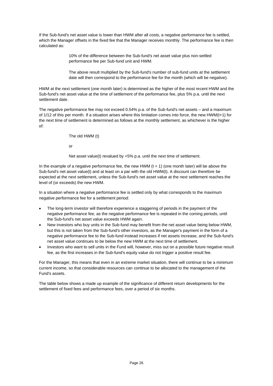If the Sub-fund's net asset value is lower than HWM after all costs, a negative performance fee is settled, which the Manager offsets in the fixed fee that the Manager receives monthly. The performance fee is then calculated as:

> 10% of the difference between the Sub-fund's net asset value plus non-settled performance fee per Sub-fund unit and HWM.

The above result multiplied by the Sub-fund's number of sub-fund units at the settlement date will then correspond to the performance fee for the month (which will be negative).

HWM at the next settlement (one month later) is determined as the higher of the most recent HWM and the Sub-fund's net asset value at the time of settlement of the performance fee, plus 5% p.a. until the next settlement date.

The negative performance fee may not exceed 0.54% p.a. of the Sub-fund's net assets – and a maximum of 1/12 of this per month. If a situation arises where this limitation comes into force, the new HWM(t+1) for the next time of settlement is determined as follows at the monthly settlement, as whichever is the higher of:

The old HWM (t)

or

Net asset value(t) revalued by +5% p.a. until the next time of settlement.

In the example of a negative performance fee, the new HWM  $(t + 1)$  (one month later) will be above the Sub-fund's net asset value(t) and at least on a par with the old HWM(t). A discount can therefore be expected at the next settlement, unless the Sub-fund's net asset value at the next settlement reaches the level of (or exceeds) the new HWM.

In a situation where a negative performance fee is settled only by what corresponds to the maximum negative performance fee for a settlement period:

- The long-term investor will therefore experience a staggering of periods in the payment of the negative performance fee, as the negative performance fee is repeated in the coming periods, until the Sub-fund's net asset value exceeds HWM again.
- New investors who buy units in the Sub-fund may benefit from the net asset value being below HWM, but this is not taken from the Sub-fund's other investors, as the Manager's payment in the form of a negative performance fee to the Sub-fund instead increases if net assets increase, and the Sub-fund's net asset value continues to be below the new HWM at the next time of settlement.
- Investors who want to sell units in the Fund will, however, miss out on a possible future negative result fee, as the first increases in the Sub-fund's equity value do not trigger a positive result fee.

For the Manager, this means that even in an extreme market situation, there will continue to be a minimum current income, so that considerable resources can continue to be allocated to the management of the Fund's assets.

The table below shows a made up example of the significance of different return developments for the settlement of fixed fees and performance fees, over a period of six months.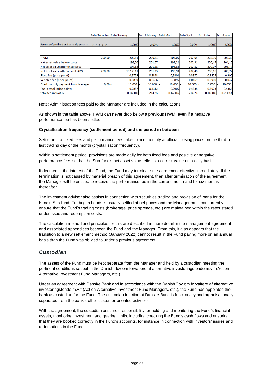|                                           | End of December   End of Janurary |           | <b>End of February</b> | <b>End of March</b> | <b>End of April</b> | <b>End of May</b> | End of June |
|-------------------------------------------|-----------------------------------|-----------|------------------------|---------------------|---------------------|-------------------|-------------|
| Return before fixed and variable costs -> | $\rightarrow$ -> -> -> -> ->      | $-1.00%$  | 2.00%                  | $-1.00%$            | 2.00%               | $-1.00%$          | 2.00%       |
|                                           |                                   |           |                        |                     |                     |                   |             |
| <b>HWM</b>                                | 200,00                            | 200,81    | 200,81                 | 202,05              | 202,05              | 203,30            | 203,30      |
| Net asset value before costs              |                                   | 198,00    | 201,67                 | 199,22              | 202,91              | 200,45            | 204,16      |
| Net asset value after fixed costs         |                                   | 197,62    | 201,28                 | 198,84              | 202,52              | 200,07            | 203,77      |
| Net asset value after all costs (IV)      | 200,00                            | 197,7111  | 201.23                 | 198,93              | 202,48              | 200.16            | 203,72      |
| Fixed fee (price point)                   |                                   | 0,3779    | 0,3848                 | 0,3802              | 0,3872              | 0,3825            | 0,390       |
| Variable fee (price point)                |                                   | $-0,0889$ | 0.0466                 | $-0.0895$           | 0.0469              | $-0.0900$         | 0,047       |
| <b>Fixed monthly payment from Manager</b> | $0,00$ -                          | 10.000    | 10.000                 | 10.000              | 10.000              | 10.000            | 10.000      |
| Fee in total (price point)                |                                   | 0.2887    | 0.4312                 | 0.2905              | 0.4338              | 0.2923            | 0,4365      |
| total fee in % of IV                      |                                   | 0.1460%   | 0.2143%                | 0.1460%             | 0.2143%             | 0.1460%           | 0,2143%     |

Note: Administration fees paid to the Manager are included in the calculations.

As shown in the table above, HWM can never drop below a previous HWM, even if a negative performance fee has been settled.

#### **Crystallisation frequency (settlement period) and the period in between**

Settlement of fixed fees and performance fees takes place monthly at official closing prices on the third-tolast trading day of the month (crystallisation frequency).

Within a settlement period, provisions are made daily for both fixed fees and positive or negative performance fees so that the Sub-fund's net asset value reflects a correct value on a daily basis.

If deemed in the interest of the Fund, the Fund may terminate the agreement effective immediately. If the termination is not caused by material breach of this agreement, then after termination of the agreement, the Manager will be entitled to receive the performance fee in the current month and for six months thereafter.

The investment advisor also assists in connection with securities trading and provision of loans for the Fund's Sub-fund. Trading in bonds is usually settled at net prices and the Manager must concurrently ensure that the Fund's trading costs (brokerage, price spreads, etc.) are maintained within the rates stated under issue and redemption costs.

The calculation method and principles for this are described in more detail in the management agreement and associated appendices between the Fund and the Manager. From this, it also appears that the transition to a new settlement method (January 2022) cannot result in the Fund paying more on an annual basis than the Fund was obliged to under a previous agreement.

## *Custodian*

The assets of the Fund must be kept separate from the Manager and held by a custodian meeting the pertinent conditions set out in the Danish "lov om forvaltere af alternative investeringsfonde m.v." (Act on Alternative Investment Fund Managers, etc.).

Under an agreement with Danske Bank and in accordance with the Danish "lov om forvaltere af alternative investeringsfonde m.v." (Act on Alternative Investment Fund Managers, etc.), the Fund has appointed the bank as custodian for the Fund. The custodian function at Danske Bank is functionally and organisationally separated from the bank's other customer-oriented activities.

With the agreement, the custodian assumes responsibility for holding and monitoring the Fund's financial assets, monitoring investment and gearing limits, including checking the Fund's cash flows and ensuring that they are booked correctly in the Fund's accounts, for instance in connection with investors' issues and redemptions in the Fund.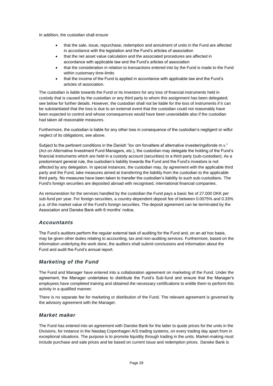In addition, the custodian shall ensure

- that the sale, issue, repurchase, redemption and annulment of units in the Fund are affected in accordance with the legislation and the Fund's articles of association
- that the net asset value calculation and the associated procedures are affected in accordance with applicable law and the Fund's articles of association
- that the consideration in relation to transactions entered into by the Fund is made to the Fund within customary time-limits
- that the income of the Fund is applied in accordance with applicable law and the Fund's articles of association.

The custodian is liable towards the Fund or its investors for any loss of financial instruments held in custody that is caused by the custodian or any third party to whom this assignment has been delegated; see below for further details. However, the custodian shall not be liable for the loss of instruments if it can be substantiated that the loss is due to an external event that the custodian could not reasonably have been expected to control and whose consequences would have been unavoidable also if the custodian had taken all reasonable measures.

Furthermore, the custodian is liable for any other loss in consequence of the custodian's negligent or wilful neglect of its obligations, see above.

Subject to the pertinent conditions in the Danish "lov om forvaltere af alternative investeringsfonde m.v." (Act on Alternative Investment Fund Managers, etc.), the custodian may delegate the holding of the Fund's financial instruments which are held in a custody account (securities) to a third party (sub-custodian). As a predominant general rule, the custodian's liability towards the Fund and the Fund's investors is not affected by any delegation. In special instances, the custodian may, by agreement with the applicable third party and the Fund, take measures aimed at transferring the liability from the custodian to the applicable third party. No measures have been taken to transfer the custodian's liability to such sub-custodians. The Fund's foreign securities are deposited abroad with recognised, international financial companies.

As remuneration for the services handled by the custodian the Fund pays a basic fee of 27.000 DKK per sub-fund per year. For foreign securities, a country-dependent deposit fee of between 0.0075% and 0.33% p.a. of the market value of the Fund's foreign securities. The deposit agreement can be terminated by the Association and Danske Bank with 6 months' notice.

## *Accountants*

The Fund's auditors perform the regular external task of auditing for the Fund and, on an ad hoc basis, may be given other duties relating to accounting, tax and non-auditing services. Furthermore, based on the information underlying the work done, the auditors shall submit conclusions and information about the Fund and audit the Fund's annual report.

## *Marketing of the Fund*

The Fund and Manager have entered into a collaboration agreement on marketing of the Fund. Under the agreement, the Manager undertakes to distribute the Fund's Sub-fund and ensure that the Manager's employees have completed training and obtained the necessary certifications to entitle them to perform this activity in a qualified manner.

There is no separate fee for marketing or distribution of the Fund. The relevant agreement is governed by the advisory agreement with the Manager.

## *Market maker*

The Fund has entered into an agreement with Danske Bank for the latter to quote prices for the units in the Divisions, for instance in the Nasdaq Copenhagen A/S trading systems, on every trading day apart from in exceptional situations. The purpose is to promote liquidity through trading in the units. Market-making must include purchase and sale prices and be based on current issue and redemption prices. Danske Bank is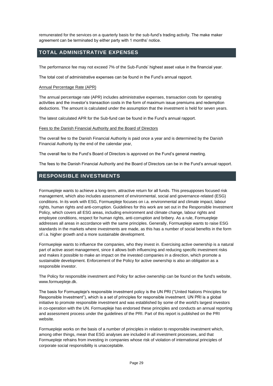remunerated for the services on a quarterly basis for the sub-fund's trading activity. The make maker agreement can be terminated by either party with 1 months' notice.

# <span id="page-29-0"></span>**TOTAL ADMINISTRATIVE EXPENSES**

The performance fee may not exceed 7% of the Sub-Funds' highest asset value in the financial year.

The total cost of administrative expenses can be found in the Fund's annual rapport.

#### Annual Percentage Rate (APR)

The annual percentage rate (APR) includes administrative expenses, transaction costs for operating activities and the investor's transaction costs in the form of maximum issue premiums and redemption deductions. The amount is calculated under the assumption that the investment is held for seven years.

The latest calculated APR for the Sub-fund can be found in the Fund's annual rapport.

#### Fees to the Danish Financial Authority and the Board of Directors

The overall fee to the Danish Financial Authority is paid once a year and is determined by the Danish Financial Authority by the end of the calendar year,

The overall fee to the Fund's Board of Directors is approved on the Fund's general meeting.

The fees to the Danish Financial Authority and the Board of Directors can be in the Fund's annual rapport.

# <span id="page-29-1"></span>**RESPONSIBLE INVESTMENTS**

Formuepleje wants to achieve a long-term, attractive return for all funds. This presupposes focused risk management, which also includes assessment of environmental, social and governance-related (ESG) conditions. In its work with ESG, Formuepleje focuses on i.a. environmental and climate impact, labour rights, human rights and anti-corruption. Guidelines for this work are set out in the Responsible Investment Policy, which covers all ESG areas, including environment and climate change, labour rights and employee conditions, respect for human rights, anti-corruption and bribery. As a rule, Formuepleje addresses all areas in accordance with the same principles. Generally, Formuepleje wants to raise ESG standards in the markets where investments are made, as this has a number of social benefits in the form of i.a. higher growth and a more sustainable development.

Formuepleje wants to influence the companies, who they invest in. Exercising active ownership is a natural part of active asset management, since it allows both influencing and reducing specific investment risks and makes it possible to make an impact on the invested companies in a direction, which promote a sustainable development. Enforcement of the Policy for active ownership is also an obligation as a responsible investor.

The Policy for responsible investment and Policy for active ownership can be found on the fund's website, www.formuepleje.dk.

The basis for Formuepleje's responsible investment policy is the UN PRI ("United Nations Principles for Responsible Investment"), which is a set of principles for responsible investment. UN PRI is a global initiative to promote responsible investment and was established by some of the world's largest investors in co-operation with the UN. Formuepleje has endorsed these principles and conducts an annual reporting and assessment process under the guidelines of the PRI. Part of this report is published on the PRI website.

Formuepleje works on the basis of a number of principles in relation to responsible investment which, among other things, mean that ESG analyses are included in all investment processes, and that Formuepleje refrains from investing in companies whose risk of violation of international principles of corporate social responsibility is unacceptable.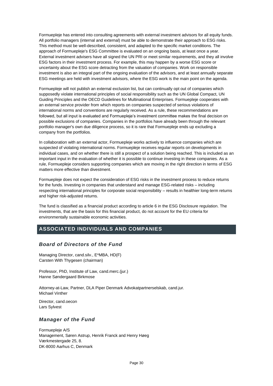Formuepleje has entered into consulting agreements with external investment advisors for all equity funds. All portfolio managers (internal and external) must be able to demonstrate their approach to ESG risks. This method must be well-described, consistent, and adapted to the specific market conditions. The approach of Formuepleje's ESG Committee is evaluated on an ongoing basis, at least once a year. External investment advisers have all signed the UN PRI or meet similar requirements, and they all involve ESG factors in their investment process. For example, this may happen by a worse ESG score or uncertainty about the ESG score detracting from the valuation of companies. Work on responsible investment is also an integral part of the ongoing evaluation of the advisors, and at least annually separate ESG meetings are held with investment advisors, where the ESG work is the main point on the agenda.

Formuepleje will not publish an external exclusion list, but can continually opt out of companies which supposedly violate international principles of social responsibility such as the UN Global Compact, UN Guiding Principles and the OECD Guidelines for Multinational Enterprises. Formuepleje cooperates with an external service provider from which reports on companies suspected of serious violations of international norms and conventions are regularly received. As a rule, these recommendations are followed, but all input is evaluated and Formuepleje's investment committee makes the final decision on possible exclusions of companies. Companies in the portfolios have already been through the relevant portfolio manager's own due diligence process, so it is rare that Formuepleje ends up excluding a company from the portfolios.

In collaboration with an external actor, Formuepleje works actively to influence companies which are suspected of violating international norms. Formuepleje receives regular reports on developments in individual cases, and on whether there is still a prospect of a solution being reached. This is included as an important input in the evaluation of whether it is possible to continue investing in these companies. As a rule, Formuepleje considers supporting companies which are moving in the right direction in terms of ESG matters more effective than divestment.

Formuepleje does not expect the consideration of ESG risks in the investment process to reduce returns for the funds. Investing in companies that understand and manage ESG-related risks – including respecting international principles for corporate social responsibility – results in healthier long-term returns and higher risk-adjusted returns.

The fund is classified as a financial product according to article 6 in the ESG Disclosure regulation. The investments, that are the basis for this financial product, do not account for the EU criteria for environmentally sustainable economic activities.

# <span id="page-30-0"></span>**ASSOCIATED INDIVIDUALS AND COMPANIES**

## *Board of Directors of the Fund*

Managing Director, cand.silv., E\*MBA, HD(F) Carsten With Thygesen (chairman)

Professor, PhD, Institute of Law, cand.merc.(jur.) Hanne Søndergaard Birkmose

Attorney-at-Law, Partner, DLA Piper Denmark Advokatpartnerselskab, cand.jur. Michael Vinther

Director, cand.oecon Lars Sylvest

## *Manager of the Fund*

Formuepleje A/S Management, Søren Astrup, Henrik Franck and Henry Høeg Værkmestergade 25, 8. DK-8000 Aarhus C, Denmark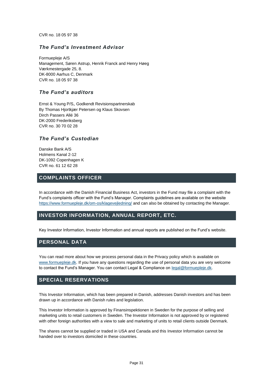CVR no. 18 05 97 38

## *The Fund's Investment Advisor*

Formuepleje A/S Management, Søren Astrup, Henrik Franck and Henry Høeg Værkmestergade 25, 8. DK-8000 Aarhus C, Denmark CVR no. 18 05 97 38

## *The Fund's auditors*

Ernst & Young P/S, Godkendt Revisionspartnerskab By Thomas Hjortkjær Petersen og Klaus Skovsen Dirch Passers Allé 36 DK-2000 Frederiksberg CVR no. 30 70 02 28

## *The Fund's Custodian*

Danske Bank A/S Holmens Kanal 2-12 DK-1092 Copenhagen K CVR no. 61 12 62 28

## <span id="page-31-0"></span>**COMPLAINTS OFFICER**

In accordance with the Danish Financial Business Act, investors in the Fund may file a complaint with the Fund's complaints officer with the Fund's Manager. Complaints guidelines are available on the website <https://www.formuepleje.dk/om-os/klagevejledning/> and can also be obtained by contacting the Manager.

# <span id="page-31-1"></span>**INVESTOR INFORMATION, ANNUAL REPORT, ETC.**

Key Investor Information, Investor Information and annual reports are published on the Fund's website.

## <span id="page-31-2"></span>**PERSONAL DATA**

You can read more about how we process personal data in the Privacy policy which is available on [www.formuepleje.dk.](http://www.formuepleje.dk/) If you have any questions regarding the use of personal data you are very welcome to contact the Fund's Manager. You can contact Legal & Compliance on [legal@formuepleje.dk.](mailto:legal@formuepleje.dk)

# <span id="page-31-3"></span>**SPECIAL RESERVATIONS**

This Investor Information, which has been prepared in Danish, addresses Danish investors and has been drawn up in accordance with Danish rules and legislation.

This Investor Information is approved by Finansinspektionen in Sweden for the purpose of selling and marketing units to retail customers in Sweden. The Investor Information is not approved by or registered with other foreign authorities with a view to sale and marketing of units to retail clients outside Denmark.

The shares cannot be supplied or traded in USA and Canada and this Investor Information cannot be handed over to investors domiciled in these countries.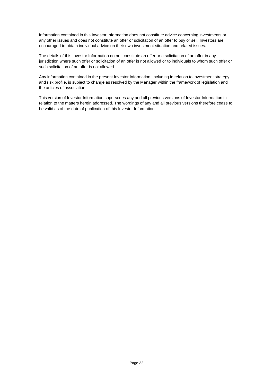Information contained in this Investor Information does not constitute advice concerning investments or any other issues and does not constitute an offer or solicitation of an offer to buy or sell. Investors are encouraged to obtain individual advice on their own investment situation and related issues.

The details of this Investor Information do not constitute an offer or a solicitation of an offer in any jurisdiction where such offer or solicitation of an offer is not allowed or to individuals to whom such offer or such solicitation of an offer is not allowed.

Any information contained in the present Investor Information, including in relation to investment strategy and risk profile, is subject to change as resolved by the Manager within the framework of legislation and the articles of association.

This version of Investor Information supersedes any and all previous versions of Investor Information in relation to the matters herein addressed. The wordings of any and all previous versions therefore cease to be valid as of the date of publication of this Investor Information.